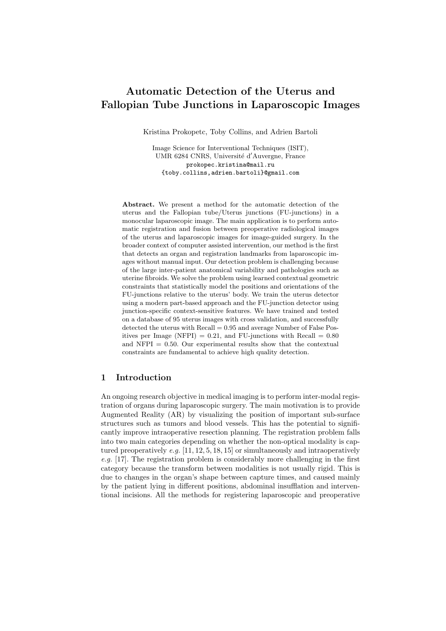# Automatic Detection of the Uterus and Fallopian Tube Junctions in Laparoscopic Images

Kristina Prokopetc, Toby Collins, and Adrien Bartoli

Image Science for Interventional Techniques (ISIT), UMR 6284 CNRS, Université d'Auvergne, France prokopec.kristina@mail.ru {toby.collins,adrien.bartoli}@gmail.com

Abstract. We present a method for the automatic detection of the uterus and the Fallopian tube/Uterus junctions (FU-junctions) in a monocular laparoscopic image. The main application is to perform automatic registration and fusion between preoperative radiological images of the uterus and laparoscopic images for image-guided surgery. In the broader context of computer assisted intervention, our method is the first that detects an organ and registration landmarks from laparoscopic images without manual input. Our detection problem is challenging because of the large inter-patient anatomical variability and pathologies such as uterine fibroids. We solve the problem using learned contextual geometric constraints that statistically model the positions and orientations of the FU-junctions relative to the uterus' body. We train the uterus detector using a modern part-based approach and the FU-junction detector using junction-specific context-sensitive features. We have trained and tested on a database of 95 uterus images with cross validation, and successfully detected the uterus with  $Recall = 0.95$  and average Number of False Positives per Image (NFPI) =  $0.21$ , and FU-junctions with Recall =  $0.80$ and NFPI  $= 0.50$ . Our experimental results show that the contextual constraints are fundamental to achieve high quality detection.

# 1 Introduction

An ongoing research objective in medical imaging is to perform inter-modal registration of organs during laparoscopic surgery. The main motivation is to provide Augmented Reality (AR) by visualizing the position of important sub-surface structures such as tumors and blood vessels. This has the potential to significantly improve intraoperative resection planning. The registration problem falls into two main categories depending on whether the non-optical modality is captured preoperatively e.g.  $[11, 12, 5, 18, 15]$  or simultaneously and intraoperatively e.g. [17]. The registration problem is considerably more challenging in the first category because the transform between modalities is not usually rigid. This is due to changes in the organ's shape between capture times, and caused mainly by the patient lying in different positions, abdominal insufflation and interventional incisions. All the methods for registering laparoscopic and preoperative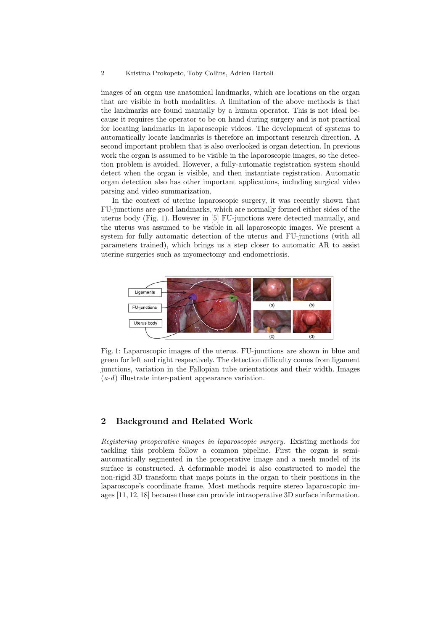#### 2 Kristina Prokopetc, Toby Collins, Adrien Bartoli

images of an organ use anatomical landmarks, which are locations on the organ that are visible in both modalities. A limitation of the above methods is that the landmarks are found manually by a human operator. This is not ideal because it requires the operator to be on hand during surgery and is not practical for locating landmarks in laparoscopic videos. The development of systems to automatically locate landmarks is therefore an important research direction. A second important problem that is also overlooked is organ detection. In previous work the organ is assumed to be visible in the laparoscopic images, so the detection problem is avoided. However, a fully-automatic registration system should detect when the organ is visible, and then instantiate registration. Automatic organ detection also has other important applications, including surgical video parsing and video summarization.

In the context of uterine laparoscopic surgery, it was recently shown that FU-junctions are good landmarks, which are normally formed either sides of the uterus body (Fig. 1). However in [5] FU-junctions were detected manually, and the uterus was assumed to be visible in all laparoscopic images. We present a system for fully automatic detection of the uterus and FU-junctions (with all parameters trained), which brings us a step closer to automatic AR to assist uterine surgeries such as myomectomy and endometriosis.



Fig. 1: Laparoscopic images of the uterus. FU-junctions are shown in blue and green for left and right respectively. The detection difficulty comes from ligament junctions, variation in the Fallopian tube orientations and their width. Images  $(a-d)$  illustrate inter-patient appearance variation.

# 2 Background and Related Work

Registering preoperative images in laparoscopic surgery. Existing methods for tackling this problem follow a common pipeline. First the organ is semiautomatically segmented in the preoperative image and a mesh model of its surface is constructed. A deformable model is also constructed to model the non-rigid 3D transform that maps points in the organ to their positions in the laparoscope's coordinate frame. Most methods require stereo laparoscopic images [11, 12, 18] because these can provide intraoperative 3D surface information.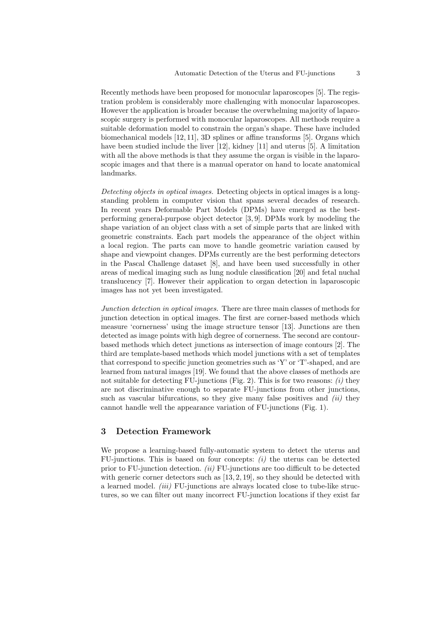Recently methods have been proposed for monocular laparoscopes [5]. The registration problem is considerably more challenging with monocular laparoscopes. However the application is broader because the overwhelming majority of laparoscopic surgery is performed with monocular laparoscopes. All methods require a suitable deformation model to constrain the organ's shape. These have included biomechanical models [12, 11], 3D splines or affine transforms [5]. Organs which have been studied include the liver [12], kidney [11] and uterus [5]. A limitation with all the above methods is that they assume the organ is visible in the laparoscopic images and that there is a manual operator on hand to locate anatomical landmarks.

Detecting objects in optical images. Detecting objects in optical images is a longstanding problem in computer vision that spans several decades of research. In recent years Deformable Part Models (DPMs) have emerged as the bestperforming general-purpose object detector [3, 9]. DPMs work by modeling the shape variation of an object class with a set of simple parts that are linked with geometric constraints. Each part models the appearance of the object within a local region. The parts can move to handle geometric variation caused by shape and viewpoint changes. DPMs currently are the best performing detectors in the Pascal Challenge dataset [8], and have been used successfully in other areas of medical imaging such as lung nodule classification [20] and fetal nuchal translucency [7]. However their application to organ detection in laparoscopic images has not yet been investigated.

Junction detection in optical images. There are three main classes of methods for junction detection in optical images. The first are corner-based methods which measure 'cornerness' using the image structure tensor [13]. Junctions are then detected as image points with high degree of cornerness. The second are contourbased methods which detect junctions as intersection of image contours [2]. The third are template-based methods which model junctions with a set of templates that correspond to specific junction geometries such as 'Y' or 'T'-shaped, and are learned from natural images [19]. We found that the above classes of methods are not suitable for detecting FU-junctions (Fig. 2). This is for two reasons:  $(i)$  they are not discriminative enough to separate FU-junctions from other junctions, such as vascular bifurcations, so they give many false positives and  $(ii)$  they cannot handle well the appearance variation of FU-junctions (Fig. 1).

# 3 Detection Framework

We propose a learning-based fully-automatic system to detect the uterus and FU-junctions. This is based on four concepts:  $(i)$  the uterus can be detected prior to FU-junction detection.  $(ii)$  FU-junctions are too difficult to be detected with generic corner detectors such as  $[13, 2, 19]$ , so they should be detected with a learned model. (iii) FU-junctions are always located close to tube-like structures, so we can filter out many incorrect FU-junction locations if they exist far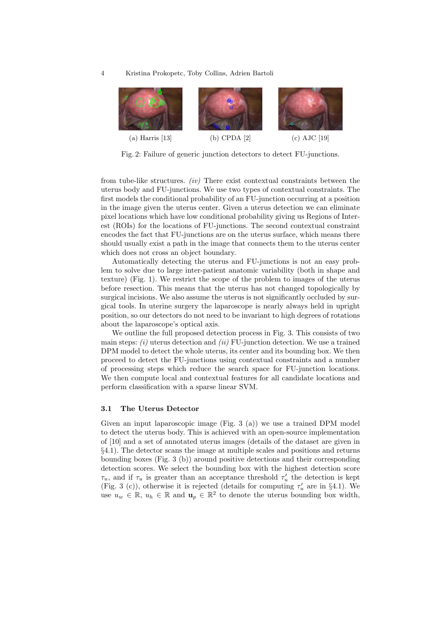4 Kristina Prokopetc, Toby Collins, Adrien Bartoli



Fig. 2: Failure of generic junction detectors to detect FU-junctions.

from tube-like structures.  $(iv)$  There exist contextual constraints between the uterus body and FU-junctions. We use two types of contextual constraints. The first models the conditional probability of an FU-junction occurring at a position in the image given the uterus center. Given a uterus detection we can eliminate pixel locations which have low conditional probability giving us Regions of Interest (ROIs) for the locations of FU-junctions. The second contextual constraint encodes the fact that FU-junctions are on the uterus surface, which means there should usually exist a path in the image that connects them to the uterus center which does not cross an object boundary.

Automatically detecting the uterus and FU-junctions is not an easy problem to solve due to large inter-patient anatomic variability (both in shape and texture) (Fig. 1). We restrict the scope of the problem to images of the uterus before resection. This means that the uterus has not changed topologically by surgical incisions. We also assume the uterus is not significantly occluded by surgical tools. In uterine surgery the laparoscope is nearly always held in upright position, so our detectors do not need to be invariant to high degrees of rotations about the laparoscope's optical axis.

We outline the full proposed detection process in Fig. 3. This consists of two main steps:  $(i)$  uterus detection and  $(ii)$  FU-junction detection. We use a trained DPM model to detect the whole uterus, its center and its bounding box. We then proceed to detect the FU-junctions using contextual constraints and a number of processing steps which reduce the search space for FU-junction locations. We then compute local and contextual features for all candidate locations and perform classification with a sparse linear SVM.

## 3.1 The Uterus Detector

Given an input laparoscopic image (Fig. 3 (a)) we use a trained DPM model to detect the uterus body. This is achieved with an open-source implementation of [10] and a set of annotated uterus images (details of the dataset are given in §4.1). The detector scans the image at multiple scales and positions and returns bounding boxes (Fig. 3 (b)) around positive detections and their corresponding detection scores. We select the bounding box with the highest detection score  $\tau_u$ , and if  $\tau_u$  is greater than an acceptance threshold  $\tau_u'$  the detection is kept (Fig. 3 (c)), otherwise it is rejected (details for computing  $\tau_u$  are in §4.1). We use  $u_w \in \mathbb{R}$ ,  $u_h \in \mathbb{R}$  and  $u_p \in \mathbb{R}^2$  to denote the uterus bounding box width,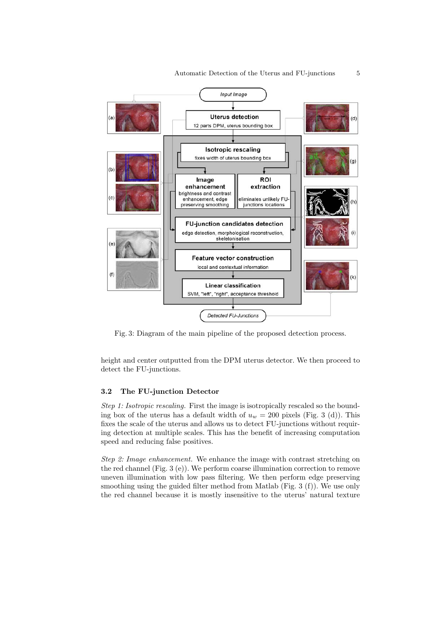

Fig. 3: Diagram of the main pipeline of the proposed detection process.

height and center outputted from the DPM uterus detector. We then proceed to detect the FU-junctions.

## 3.2 The FU-junction Detector

Step 1: Isotropic rescaling. First the image is isotropically rescaled so the bounding box of the uterus has a default width of  $u_w = 200$  pixels (Fig. 3 (d)). This fixes the scale of the uterus and allows us to detect FU-junctions without requiring detection at multiple scales. This has the benefit of increasing computation speed and reducing false positives.

Step 2: Image enhancement. We enhance the image with contrast stretching on the red channel (Fig. 3 (e)). We perform coarse illumination correction to remove uneven illumination with low pass filtering. We then perform edge preserving smoothing using the guided filter method from Matlab (Fig. 3 (f)). We use only the red channel because it is mostly insensitive to the uterus' natural texture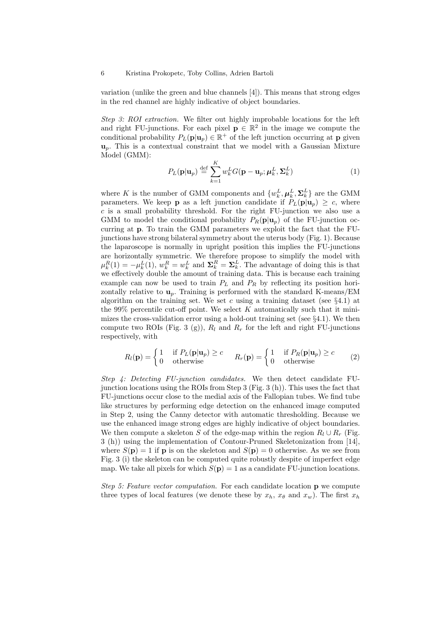#### 6 Kristina Prokopetc, Toby Collins, Adrien Bartoli

variation (unlike the green and blue channels [4]). This means that strong edges in the red channel are highly indicative of object boundaries.

Step 3: ROI extraction. We filter out highly improbable locations for the left and right FU-junctions. For each pixel  $p \in \mathbb{R}^2$  in the image we compute the conditional probability  $P_L(\mathbf{p}|\mathbf{u}_p) \in \mathbb{R}^+$  of the left junction occurring at  $\mathbf{p}$  given  $u_p$ . This is a contextual constraint that we model with a Gaussian Mixture Model (GMM):

$$
P_L(\mathbf{p}|\mathbf{u}_p) \stackrel{\text{def}}{=} \sum_{k=1}^{K} w_k^L G(\mathbf{p} - \mathbf{u}_p; \boldsymbol{\mu}_k^L, \boldsymbol{\Sigma}_k^L)
$$
(1)

where K is the number of GMM components and  $\{w_k^L, \boldsymbol{\mu}_k^L, \boldsymbol{\Sigma}_k^L\}$  are the GMM parameters. We keep **p** as a left junction candidate if  $P_L(\mathbf{p}|\mathbf{u}_p) \geq c$ , where  $c$  is a small probability threshold. For the right FU-junction we also use a GMM to model the conditional probability  $P_R(\mathbf{p}|\mathbf{u}_n)$  of the FU-junction occurring at p. To train the GMM parameters we exploit the fact that the FUjunctions have strong bilateral symmetry about the uterus body (Fig. 1). Because the laparoscope is normally in upright position this implies the FU-junctions are horizontally symmetric. We therefore propose to simplify the model with  $\mu_k^R(1) = -\mu_k^L(1), w_k^R = w_k^L$  and  $\Sigma_k^R = \Sigma_k^L$ . The advantage of doing this is that we effectively double the amount of training data. This is because each training example can now be used to train  $P_L$  and  $P_R$  by reflecting its position horizontally relative to  $\mathbf{u}_p$ . Training is performed with the standard K-means/EM algorithm on the training set. We set c using a training dataset (see  $\S 4.1$ ) at the 99% percentile cut-off point. We select  $K$  automatically such that it minimizes the cross-validation error using a hold-out training set (see §4.1). We then compute two ROIs (Fig. 3 (g)),  $R_l$  and  $R_r$  for the left and right FU-junctions respectively, with

$$
R_l(\mathbf{p}) = \begin{cases} 1 & \text{if } P_L(\mathbf{p}|\mathbf{u}_p) \ge c \\ 0 & \text{otherwise} \end{cases} \qquad R_r(\mathbf{p}) = \begin{cases} 1 & \text{if } P_R(\mathbf{p}|\mathbf{u}_p) \ge c \\ 0 & \text{otherwise} \end{cases} \tag{2}
$$

Step 4: Detecting FU-junction candidates. We then detect candidate FUjunction locations using the ROIs from Step 3 (Fig. 3 (h)). This uses the fact that FU-junctions occur close to the medial axis of the Fallopian tubes. We find tube like structures by performing edge detection on the enhanced image computed in Step 2, using the Canny detector with automatic thresholding. Because we use the enhanced image strong edges are highly indicative of object boundaries. We then compute a skeleton S of the edge-map within the region  $R_l \cup R_r$  (Fig. 3 (h)) using the implementation of Contour-Pruned Skeletonization from [14], where  $S(\mathbf{p}) = 1$  if **p** is on the skeleton and  $S(\mathbf{p}) = 0$  otherwise. As we see from Fig. 3 (i) the skeleton can be computed quite robustly despite of imperfect edge map. We take all pixels for which  $S(\mathbf{p}) = 1$  as a candidate FU-junction locations.

Step 5: Feature vector computation. For each candidate location  $\bf{p}$  we compute three types of local features (we denote these by  $x_h$ ,  $x_\theta$  and  $x_w$ ). The first  $x_h$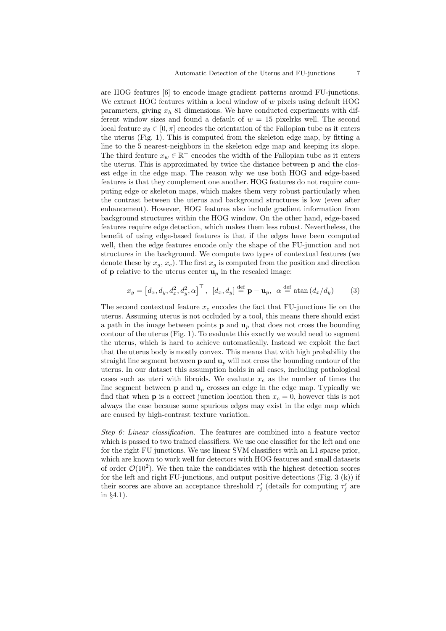are HOG features [6] to encode image gradient patterns around FU-junctions. We extract HOG features within a local window of  $w$  pixels using default HOG parameters, giving  $x<sub>h</sub>$  81 dimensions. We have conducted experiments with different window sizes and found a default of  $w = 15$  pixels well. The second local feature  $x_{\theta} \in [0, \pi]$  encodes the orientation of the Fallopian tube as it enters the uterus (Fig. 1). This is computed from the skeleton edge map, by fitting a line to the 5 nearest-neighbors in the skeleton edge map and keeping its slope. The third feature  $x_w \in \mathbb{R}^+$  encodes the width of the Fallopian tube as it enters the uterus. This is approximated by twice the distance between p and the closest edge in the edge map. The reason why we use both HOG and edge-based features is that they complement one another. HOG features do not require computing edge or skeleton maps, which makes them very robust particularly when the contrast between the uterus and background structures is low (even after enhancement). However, HOG features also include gradient information from background structures within the HOG window. On the other hand, edge-based features require edge detection, which makes them less robust. Nevertheless, the benefit of using edge-based features is that if the edges have been computed well, then the edge features encode only the shape of the FU-junction and not structures in the background. We compute two types of contextual features (we denote these by  $x_g$ ,  $x_c$ ). The first  $x_g$  is computed from the position and direction of **p** relative to the uterus center  $\mathbf{u}_p$  in the rescaled image:

$$
x_g = \left[d_x, d_y, d_x^2, d_y^2, \alpha\right]^\top, \ \left[d_x, d_y\right] \stackrel{\text{def}}{=} \mathbf{p} - \mathbf{u}_p, \ \alpha \stackrel{\text{def}}{=} \operatorname{atan}\left(d_x/d_y\right) \tag{3}
$$

The second contextual feature  $x_c$  encodes the fact that FU-junctions lie on the uterus. Assuming uterus is not occluded by a tool, this means there should exist a path in the image between points  $p$  and  $u_p$  that does not cross the bounding contour of the uterus (Fig. 1). To evaluate this exactly we would need to segment the uterus, which is hard to achieve automatically. Instead we exploit the fact that the uterus body is mostly convex. This means that with high probability the straight line segment between  $p$  and  $u_p$  will not cross the bounding contour of the uterus. In our dataset this assumption holds in all cases, including pathological cases such as uteri with fibroids. We evaluate  $x_c$  as the number of times the line segment between  $p$  and  $u_p$  crosses an edge in the edge map. Typically we find that when **p** is a correct junction location then  $x_c = 0$ , however this is not always the case because some spurious edges may exist in the edge map which are caused by high-contrast texture variation.

Step 6: Linear classification. The features are combined into a feature vector which is passed to two trained classifiers. We use one classifier for the left and one for the right FU junctions. We use linear SVM classifiers with an L1 sparse prior, which are known to work well for detectors with HOG features and small datasets of order  $\mathcal{O}(10^2)$ . We then take the candidates with the highest detection scores for the left and right FU-junctions, and output positive detections (Fig. 3  $(k)$ ) if their scores are above an acceptance threshold  $\tau'_{j}$  (details for computing  $\tau'_{j}$  are in §4.1).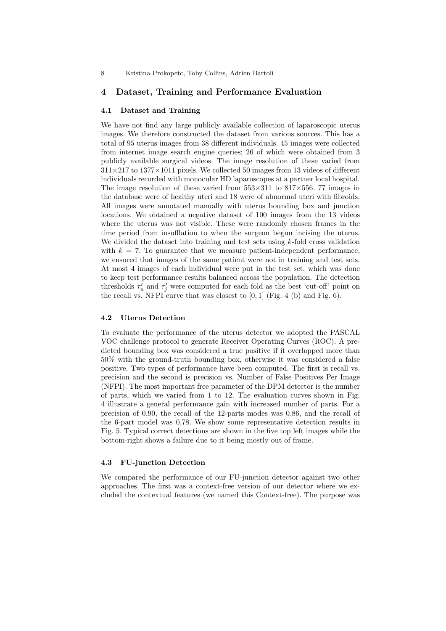## 4 Dataset, Training and Performance Evaluation

#### 4.1 Dataset and Training

We have not find any large publicly available collection of laparoscopic uterus images. We therefore constructed the dataset from various sources. This has a total of 95 uterus images from 38 different individuals. 45 images were collected from internet image search engine queries; 26 of which were obtained from 3 publicly available surgical videos. The image resolution of these varied from  $311\times217$  to  $1377\times1011$  pixels. We collected 50 images from 13 videos of different individuals recorded with monocular HD laparoscopes at a partner local hospital. The image resolution of these varied from  $553\times311$  to  $817\times556$ . 77 images in the database were of healthy uteri and 18 were of abnormal uteri with fibroids. All images were annotated manually with uterus bounding box and junction locations. We obtained a negative dataset of 100 images from the 13 videos where the uterus was not visible. These were randomly chosen frames in the time period from insufflation to when the surgeon begun incising the uterus. We divided the dataset into training and test sets using  $k$ -fold cross validation with  $k = 7$ . To guarantee that we measure patient-independent performance, we ensured that images of the same patient were not in training and test sets. At most 4 images of each individual were put in the test set, which was done to keep test performance results balanced across the population. The detection thresholds  $\tau'_u$  and  $\tau'_j$  were computed for each fold as the best 'cut-off' point on the recall vs. NFPI curve that was closest to  $[0, 1]$  (Fig. 4 (b) and Fig. 6).

#### 4.2 Uterus Detection

To evaluate the performance of the uterus detector we adopted the PASCAL VOC challenge protocol to generate Receiver Operating Curves (ROC). A predicted bounding box was considered a true positive if it overlapped more than 50% with the ground-truth bounding box, otherwise it was considered a false positive. Two types of performance have been computed. The first is recall vs. precision and the second is precision vs. Number of False Positives Per Image (NFPI). The most important free parameter of the DPM detector is the number of parts, which we varied from 1 to 12. The evaluation curves shown in Fig. 4 illustrate a general performance gain with increased number of parts. For a precision of 0.90, the recall of the 12-parts modes was 0.86, and the recall of the 6-part model was 0.78. We show some representative detection results in Fig. 5. Typical correct detections are shown in the five top left images while the bottom-right shows a failure due to it being mostly out of frame.

## 4.3 FU-junction Detection

We compared the performance of our FU-junction detector against two other approaches. The first was a context-free version of our detector where we excluded the contextual features (we named this Context-free). The purpose was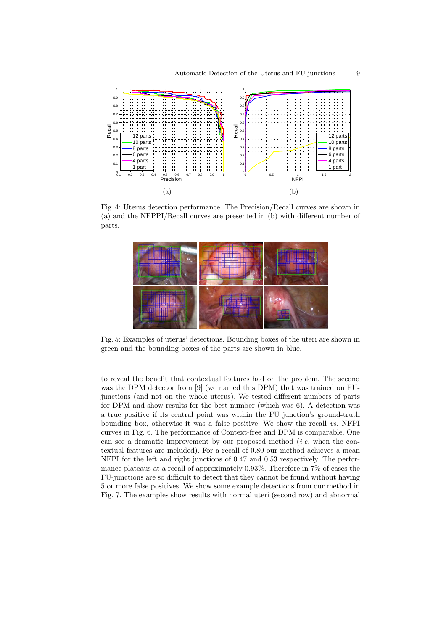

Fig. 4: Uterus detection performance. The Precision/Recall curves are shown in (a) and the NFPPI/Recall curves are presented in (b) with different number of parts.



Fig. 5: Examples of uterus' detections. Bounding boxes of the uteri are shown in green and the bounding boxes of the parts are shown in blue.

to reveal the benefit that contextual features had on the problem. The second was the DPM detector from [9] (we named this DPM) that was trained on FUjunctions (and not on the whole uterus). We tested different numbers of parts for DPM and show results for the best number (which was 6). A detection was a true positive if its central point was within the FU junction's ground-truth bounding box, otherwise it was a false positive. We show the recall  $vs.$  NFPI curves in Fig. 6. The performance of Context-free and DPM is comparable. One can see a dramatic improvement by our proposed method  $(i.e.$  when the contextual features are included). For a recall of 0.80 our method achieves a mean NFPI for the left and right junctions of 0.47 and 0.53 respectively. The performance plateaus at a recall of approximately 0.93%. Therefore in 7% of cases the FU-junctions are so difficult to detect that they cannot be found without having 5 or more false positives. We show some example detections from our method in Fig. 7. The examples show results with normal uteri (second row) and abnormal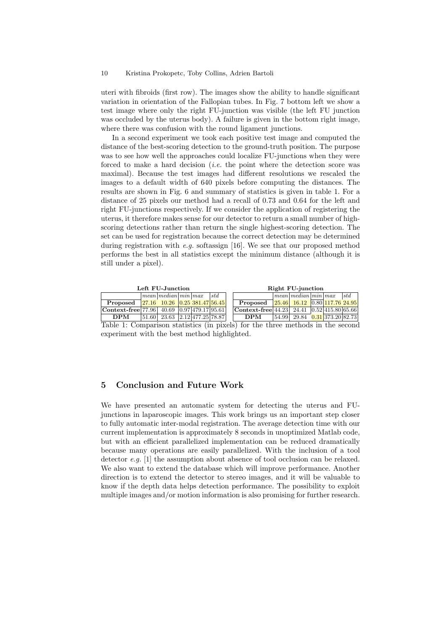uteri with fibroids (first row). The images show the ability to handle significant variation in orientation of the Fallopian tubes. In Fig. 7 bottom left we show a test image where only the right FU-junction was visible (the left FU junction was occluded by the uterus body). A failure is given in the bottom right image, where there was confusion with the round ligament junctions.

In a second experiment we took each positive test image and computed the distance of the best-scoring detection to the ground-truth position. The purpose was to see how well the approaches could localize FU-junctions when they were forced to make a hard decision (*i.e.* the point where the detection score was maximal). Because the test images had different resolutions we rescaled the images to a default width of 640 pixels before computing the distances. The results are shown in Fig. 6 and summary of statistics is given in table 1. For a distance of 25 pixels our method had a recall of 0.73 and 0.64 for the left and right FU-junctions respectively. If we consider the application of registering the uterus, it therefore makes sense for our detector to return a small number of highscoring detections rather than return the single highest-scoring detection. The set can be used for registration because the correct detection may be determined during registration with e.g. softassign [16]. We see that our proposed method performs the best in all statistics except the minimum distance (although it is still under a pixel).

| Left FU-Junction                              |  |                                                                                       |  |  |     | Right FU-junction                                      |  |                                                                               |  |  |     |  |
|-----------------------------------------------|--|---------------------------------------------------------------------------------------|--|--|-----|--------------------------------------------------------|--|-------------------------------------------------------------------------------|--|--|-----|--|
|                                               |  | $\lceil \textit{mean} \rceil \textit{median} \rceil \textit{min} \rceil \textit{max}$ |  |  | std |                                                        |  | $\lceil \text{mean} \rceil \text{median} \rceil \text{min} \rceil \text{max}$ |  |  | std |  |
| $\bf Proposed$                                |  | $\sqrt{27.16}$ 10.26 $\sqrt{0.25}$ 381.47 56.45                                       |  |  |     | Proposed                                               |  | $\sqrt{25.46}$ 16.12 $\sqrt{0.80}$ 117.76 24.95                               |  |  |     |  |
| Context-free 77.96 40.69 $[0.97]479.17[95.6]$ |  |                                                                                       |  |  |     | $ $ Context-free $ 44.23 $ 24.41 $ 0.52 415.80 65.66 $ |  |                                                                               |  |  |     |  |
| <b>DPM</b>                                    |  | $ 51.60 $ 23.63 2.12 477.25 78.87                                                     |  |  |     | <b>DPM</b>                                             |  | $\overline{54.99}$ 29.84 $\overline{0.31}$ 373.20 82.73                       |  |  |     |  |

Table 1: Comparison statistics (in pixels) for the three methods in the second experiment with the best method highlighted.

## 5 Conclusion and Future Work

We have presented an automatic system for detecting the uterus and FUjunctions in laparoscopic images. This work brings us an important step closer to fully automatic inter-modal registration. The average detection time with our current implementation is approximately 8 seconds in unoptimized Matlab code, but with an efficient parallelized implementation can be reduced dramatically because many operations are easily parallelized. With the inclusion of a tool detector e.g. [1] the assumption about absence of tool occlusion can be relaxed. We also want to extend the database which will improve performance. Another direction is to extend the detector to stereo images, and it will be valuable to know if the depth data helps detection performance. The possibility to exploit multiple images and/or motion information is also promising for further research.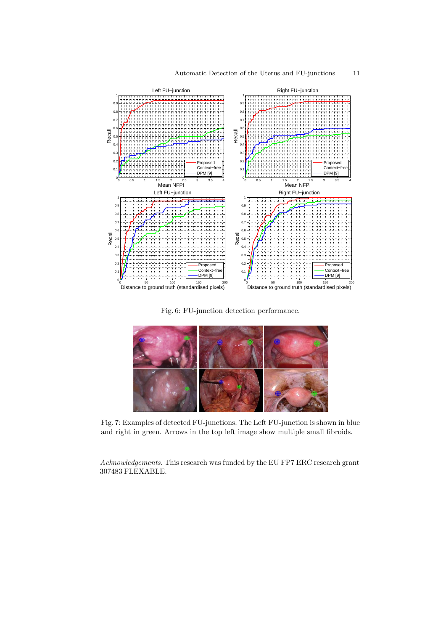

Fig. 6: FU-junction detection performance.



Fig. 7: Examples of detected FU-junctions. The Left FU-junction is shown in blue and right in green. Arrows in the top left image show multiple small fibroids.

Acknowledgements. This research was funded by the EU FP7 ERC research grant 307483 FLEXABLE.